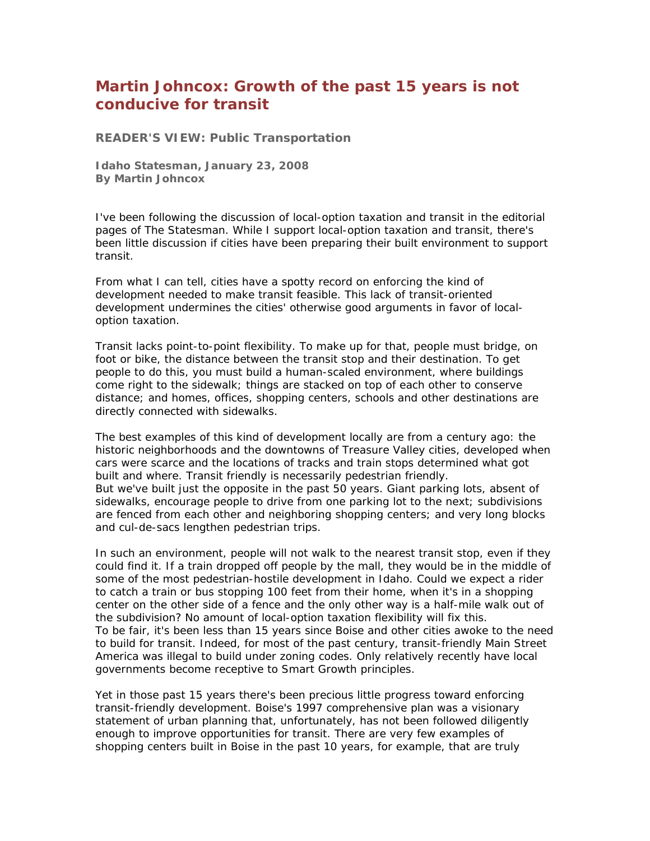## **Martin Johncox: Growth of the past 15 years is not conducive for transit**

**READER'S VIEW: Public Transportation** 

**Idaho Statesman, January 23, 2008 By Martin Johncox** 

I've been following the discussion of local-option taxation and transit in the editorial pages of The Statesman. While I support local-option taxation and transit, there's been little discussion if cities have been preparing their built environment to support transit.

From what I can tell, cities have a spotty record on enforcing the kind of development needed to make transit feasible. This lack of transit-oriented development undermines the cities' otherwise good arguments in favor of localoption taxation.

Transit lacks point-to-point flexibility. To make up for that, people must bridge, on foot or bike, the distance between the transit stop and their destination. To get people to do this, you must build a human-scaled environment, where buildings come right to the sidewalk; things are stacked on top of each other to conserve distance; and homes, offices, shopping centers, schools and other destinations are directly connected with sidewalks.

The best examples of this kind of development locally are from a century ago: the historic neighborhoods and the downtowns of Treasure Valley cities, developed when cars were scarce and the locations of tracks and train stops determined what got built and where. Transit friendly is necessarily pedestrian friendly. But we've built just the opposite in the past 50 years. Giant parking lots, absent of sidewalks, encourage people to drive from one parking lot to the next; subdivisions are fenced from each other and neighboring shopping centers; and very long blocks and cul-de-sacs lengthen pedestrian trips.

In such an environment, people will not walk to the nearest transit stop, even if they could find it. If a train dropped off people by the mall, they would be in the middle of some of the most pedestrian-hostile development in Idaho. Could we expect a rider to catch a train or bus stopping 100 feet from their home, when it's in a shopping center on the other side of a fence and the only other way is a half-mile walk out of the subdivision? No amount of local-option taxation flexibility will fix this. To be fair, it's been less than 15 years since Boise and other cities awoke to the need to build for transit. Indeed, for most of the past century, transit-friendly Main Street America was illegal to build under zoning codes. Only relatively recently have local governments become receptive to Smart Growth principles.

Yet in those past 15 years there's been precious little progress toward enforcing transit-friendly development. Boise's 1997 comprehensive plan was a visionary statement of urban planning that, unfortunately, has not been followed diligently enough to improve opportunities for transit. There are very few examples of shopping centers built in Boise in the past 10 years, for example, that are truly